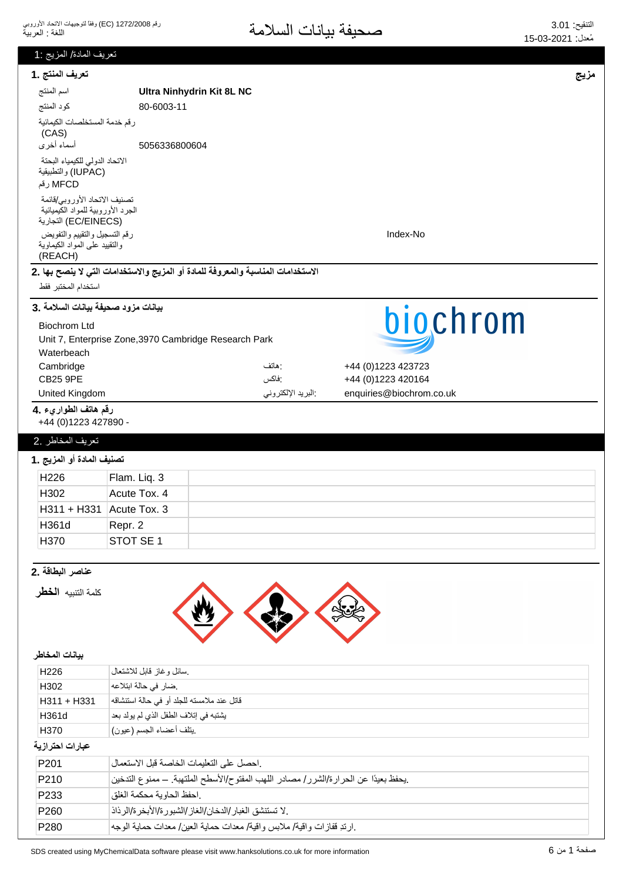| تعريف المادة/ المزيج :1                                   |                                                                                  |                                                                                       |                          |      |
|-----------------------------------------------------------|----------------------------------------------------------------------------------|---------------------------------------------------------------------------------------|--------------------------|------|
| تعريف المنتج .1                                           |                                                                                  |                                                                                       |                          | مزيج |
| اسم المنتج                                                | <b>Ultra Ninhydrin Kit 8L NC</b>                                                 |                                                                                       |                          |      |
| كود المنتج                                                | 80-6003-11                                                                       |                                                                                       |                          |      |
| رقم خدمة المستخلصات الكيمائية                             |                                                                                  |                                                                                       |                          |      |
| (CAS)                                                     |                                                                                  |                                                                                       |                          |      |
| أسماء أخرى                                                | 5056336800604                                                                    |                                                                                       |                          |      |
| الاتحاد الدولي للكيمياء البحتة<br>(IUPAC) والتطبيقية      |                                                                                  |                                                                                       |                          |      |
| MFCD رقم                                                  |                                                                                  |                                                                                       |                          |      |
| تصنيف الاتحاد الأوروبي/قائمة                              |                                                                                  |                                                                                       |                          |      |
| الجرد الأوروبية للمواد الكيميائية<br>(EC/EINECS) التجارية |                                                                                  |                                                                                       |                          |      |
| رقم التسجيل والتقييم والتفويض                             |                                                                                  |                                                                                       | Index-No                 |      |
| والنقييد على المواد الكيماوية<br>(REACH)                  |                                                                                  |                                                                                       |                          |      |
|                                                           | الاستخدامات المناسبة والمعروفة للمادة أو المزيج والاستخدامات التي لا ينصح بها .2 |                                                                                       |                          |      |
| استخدام المختبر فقط                                       |                                                                                  |                                                                                       |                          |      |
|                                                           |                                                                                  |                                                                                       |                          |      |
| بيانات مزود صحيفة بيانات السلامة .3                       |                                                                                  |                                                                                       | biochrom                 |      |
| <b>Biochrom Ltd</b>                                       |                                                                                  |                                                                                       |                          |      |
|                                                           | Unit 7, Enterprise Zone, 3970 Cambridge Research Park                            |                                                                                       |                          |      |
| Waterbeach<br>Cambridge                                   |                                                                                  | : هاتف                                                                                | +44 (0)1223 423723       |      |
| <b>CB25 9PE</b>                                           |                                                                                  | :فاكس                                                                                 | +44 (0)1223 420164       |      |
| United Kingdom                                            |                                                                                  | البريد الإلكتروني                                                                     | enquiries@biochrom.co.uk |      |
| رقم هاتف الطواريء .4                                      |                                                                                  |                                                                                       |                          |      |
| +44 (0) 1223 427890 -                                     |                                                                                  |                                                                                       |                          |      |
| تعريف المخاطر .2                                          |                                                                                  |                                                                                       |                          |      |
|                                                           |                                                                                  |                                                                                       |                          |      |
| تصنيف المادة أو المزيج .1                                 |                                                                                  |                                                                                       |                          |      |
| H226                                                      |                                                                                  |                                                                                       |                          |      |
| H <sub>302</sub>                                          | Flam. Liq. 3<br>Acute Tox. 4                                                     |                                                                                       |                          |      |
| $H311 + H331$ Acute Tox. 3                                |                                                                                  |                                                                                       |                          |      |
| H361d                                                     |                                                                                  |                                                                                       |                          |      |
| H370                                                      | Repr. 2<br>STOT SE 1                                                             |                                                                                       |                          |      |
|                                                           |                                                                                  |                                                                                       |                          |      |
| عناصر البطاقة .2                                          |                                                                                  |                                                                                       |                          |      |
|                                                           |                                                                                  |                                                                                       |                          |      |
| كلمة التنبيه <b>الخط</b> ل                                |                                                                                  |                                                                                       |                          |      |
|                                                           |                                                                                  |                                                                                       |                          |      |
|                                                           |                                                                                  |                                                                                       |                          |      |
|                                                           |                                                                                  |                                                                                       |                          |      |
| بيانات المخاطر                                            |                                                                                  |                                                                                       |                          |      |
| H226<br>H302                                              | سائل وغاز قابل للاشتعال<br>ضار في حالة ابتلاعه                                   |                                                                                       |                          |      |
| H311 + H331                                               | قاتل عند ملامسته للجلد أو في حالة استنشاقه                                       |                                                                                       |                          |      |
| H361d                                                     | يشتبه في إتلاف الطفل الذي لم يولد بعد                                            |                                                                                       |                          |      |
| H370                                                      | يتلف أعضاء الجسم (عيون)                                                          |                                                                                       |                          |      |
| عبارات احترازية                                           |                                                                                  |                                                                                       |                          |      |
| P201                                                      | احصل على التعليمات الخاصة قبل الاستعمال                                          |                                                                                       |                          |      |
| P210                                                      |                                                                                  | .يحفظ بعيدًا عن الحرار ة/الشرر/ مصادر اللهب المفتوح/الأسطح الملتهبة. ــ ممنوع التدخين |                          |      |
| P233                                                      | احفظ الحاوية محكمة الغلق                                                         |                                                                                       |                          |      |
| P260                                                      | . لا تستنشق الغبار /الدخان/الغاز /الشبور ة/الأبخر ة/الرذاذ                       |                                                                                       |                          |      |
| P280                                                      |                                                                                  | .ارتدِ قفازات واقية/ ملابس واقية/ معدات حماية العين/ معدات حماية الوجه                |                          |      |

صفحة 1 من 6 G created using MyChemicalData software please visit www.hanksolutions.co.uk for more information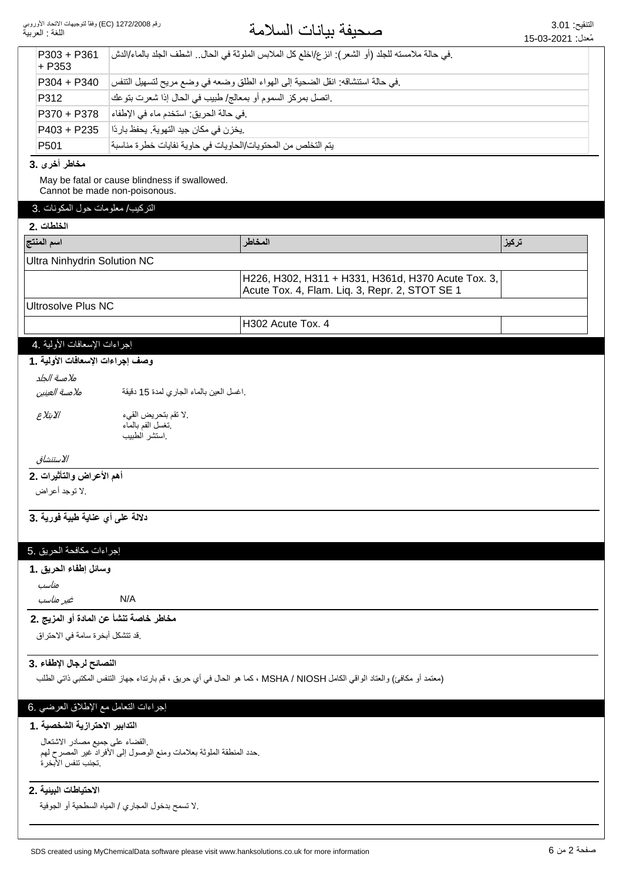| رقم 1272/2008 (EC) وفقاً لتوجيهات الاتحاد الأوروبي<br>اللغة : العربية      |                                                                    | صحيفة بيانات السلامة                                                                                                      | التنقيح: 3.01<br>مُعدل: 2021-03-15 |
|----------------------------------------------------------------------------|--------------------------------------------------------------------|---------------------------------------------------------------------------------------------------------------------------|------------------------------------|
| P303 + P361<br>$+ P353$                                                    |                                                                    | .في حالة ملامسته للجلد (أو الشعر): انز ع/اخلع كل الملابس الملوثة في الحال اشطف الجلد بالماء/الدش                          |                                    |
| P304 + P340                                                                |                                                                    | في حالة استنشاقه: انقل الضحية إلى الهواء الطلق وضعه في وضع مريح لتسهيل التنفس                                             |                                    |
| P312                                                                       | .انصل بمركز السموم أو بمعالج/ طبيب في الحال إذا شعرت بتوعك         |                                                                                                                           |                                    |
| P370 + P378                                                                | .في حالة الحريق: استخدم ماء في الإطفاء                             |                                                                                                                           |                                    |
| P403 + P235                                                                | يخزن في مكان جيد التهوية. يحفظ باردًا                              |                                                                                                                           |                                    |
| P <sub>501</sub>                                                           | يتم التخلص من المحتويات/الحاويات في حاوية نفايات خطرة مناسبة       |                                                                                                                           |                                    |
| مخاطر أخرى .3                                                              |                                                                    |                                                                                                                           |                                    |
| Cannot be made non-poisonous.                                              | May be fatal or cause blindness if swallowed.                      |                                                                                                                           |                                    |
| التركيب/ معلومات حول المكونات .3                                           |                                                                    |                                                                                                                           |                                    |
| الخلطات .2                                                                 |                                                                    |                                                                                                                           |                                    |
| اسم المنتج                                                                 |                                                                    | المخاطر                                                                                                                   | تركيز                              |
| <b>Ultra Ninhydrin Solution NC</b>                                         |                                                                    |                                                                                                                           |                                    |
|                                                                            |                                                                    | H226, H302, H311 + H331, H361d, H370 Acute Tox. 3,<br>Acute Tox. 4, Flam. Liq. 3, Repr. 2, STOT SE 1                      |                                    |
| <b>Ultrosolve Plus NC</b>                                                  |                                                                    |                                                                                                                           |                                    |
|                                                                            |                                                                    | H302 Acute Tox. 4                                                                                                         |                                    |
| إجراءات الإسعافات الأولية .4                                               |                                                                    |                                                                                                                           |                                    |
| وصف إجراءات الإسعافات الأولية .1                                           |                                                                    |                                                                                                                           |                                    |
| ملامسة الجلد                                                               |                                                                    |                                                                                                                           |                                    |
| ملامسة العينين                                                             | .اغسل العين بالماء الجاري لمدة 15 دقيقة                            |                                                                                                                           |                                    |
|                                                                            |                                                                    |                                                                                                                           |                                    |
| الابتلاع                                                                   | .لا نقم بتحريض القيء<br>نغسل الفم بالماء<br>استشر الطبيب           |                                                                                                                           |                                    |
| الاستنشاق                                                                  |                                                                    |                                                                                                                           |                                    |
| أهم الأعراض والتأثيرات .2                                                  |                                                                    |                                                                                                                           |                                    |
| .لا توجد أعراض                                                             |                                                                    |                                                                                                                           |                                    |
| دلالة على أي عناية طبية فورية .3                                           |                                                                    |                                                                                                                           |                                    |
| إجراءات مكافحة الحريق .5                                                   |                                                                    |                                                                                                                           |                                    |
| وسائل إطفاء الحريق .1                                                      |                                                                    |                                                                                                                           |                                    |
| مناسب                                                                      |                                                                    |                                                                                                                           |                                    |
| غير مناسب                                                                  | N/A                                                                |                                                                                                                           |                                    |
|                                                                            |                                                                    |                                                                                                                           |                                    |
| مخاطر خاصة تنشأ عن المادة أو المزيج .2<br>.قد تتشكل أبخرة سامة في الاحتراق |                                                                    |                                                                                                                           |                                    |
| النصائح لرجال الإطفاء .3                                                   |                                                                    |                                                                                                                           |                                    |
|                                                                            |                                                                    | (معتمد أو مكافئ) والعتاد الواقي الكامل MSHA / NIOSH ، كما هو الحال في أي حريق ، قم بارتداء جهاز التنفس المكتبي ذاتي الطلب |                                    |
| إجراءات النعامل مع الإطلاق العرضي .6                                       |                                                                    |                                                                                                                           |                                    |
| التدابير الاحترازية الشخصية . 1                                            |                                                                    |                                                                                                                           |                                    |
| القضاء على جميع مصادر الاشتعال<br>تجنب تنفس الأبخر ة                       | حدد المنطقة الملوثة بعلامات ومنع الوصول إلى الأفراد غير المصرح لهم |                                                                                                                           |                                    |
| الاحتياطات البينية .2                                                      |                                                                    |                                                                                                                           |                                    |

لا تسمح بدخول المجاري / المياه السطحية أو الجوفية.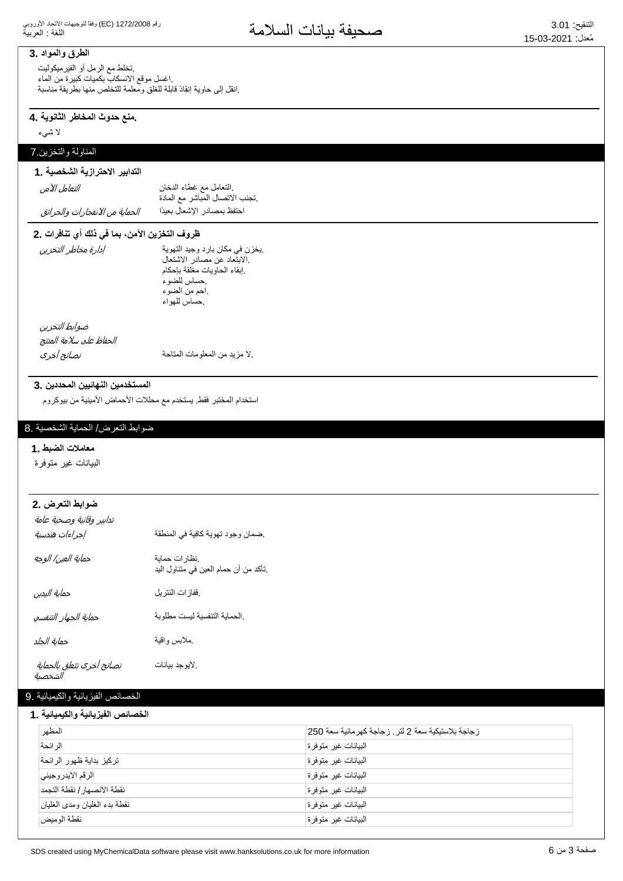### **11طرق والمواد**

تخلط مع الرمل أو الفيرميكوليت اغسل موقع الانسكاب بكميات كبيرة من الماء انقل إلى حاوية إنقاذ قابلة للغلق ومعلمة للتخلص منها بطريقة مناسبة

#### ـ منع حدوث المخاطر الثانوية ـ 4

لا شيء

### المناولة والتخزين 7

### التدابير الاحترازية الشخصية .1

التعامل الآمن

### ِ النَّعاملُ مع غطاء الدخان تجنب الاتصال المباشر مع المادة. احتفظ بمصـادر الإشـعال بـعيدًا *الحماية من الانفجار ات والحر انق*

### ظروف التخزين الآمن، بما في ذلك أي تنافرات .2

| إدارة مخاطر التخزين | .يخزن في مكان بارد وجيد التهوية<br>الابتعاد عن مصادر الاشتعال<br>إبقاء الحاويات مغلقة بإحكام<br>حساس للضوء<br>احم من الضوء<br>حساس للهواء |
|---------------------|-------------------------------------------------------------------------------------------------------------------------------------------|
|                     |                                                                                                                                           |

الحفاظ على سلامة المنتج ضوابط التخزين

Ͷ̢̞͕̝̼̓ͅ ΔΣΎΗϣϟΕΎϣϭϠόϣϟϥϣΩϳίϣϻ.

# المستخدمين النهائيين المحددين .3

استخدام المختبر فقط يستخدم مع محللات الأحماض الأمينية من بيوكروم

#### ضوابط التعرض/ الحماية الشخصية .8

#### معاملات الضبط .1

البيانات غير متوفرة

#### ضوابط التعرض .2

| تدابير وقائية وصحية عامة<br>إجراءات هندسية | ضمان وجود تهوية كافية في المنطقة                        |
|--------------------------------------------|---------------------------------------------------------|
| حماية العين/ الوجه                         | نظار ات حماية.<br>تأكد من أن حمام العين في متناول اليد. |
| حماية اليدين                               | ففازات النتريل                                          |
| حماية الجهاز التنفسي                       | الحماية التنفسية ليست مطلوبة                            |
| حماية الجلد                                | ملابس واقية                                             |
| نصائح أخرى تتعلق بالحماية                  | .لايوجد بيانات                                          |

#### یصائح اخر<sup>ی</sup> تتع*لق بان*د ِ ٱلشخصية

### الخصائص الفيز يائية و الكيميائية .9

#### الخصائص الفيزيائية والكيميائية **.1**

| المظهر                        | زجاجة بلاستيكية سعة 2 لتر . زجاجة كهرمانية سعة 250 |
|-------------------------------|----------------------------------------------------|
| الر ائحة                      | البيانات غير متوفرة                                |
| تركيز بداية ظهور الرائحة      | البيانات غير متوفرة                                |
| الرقم الايدر وجيني            | البيانات غير متوفرة                                |
| نقطة الانصبهار / نقطة التجمد  | البيانات غير متوفرة                                |
| نقطة بدء الغليان ومدى الغليان | البيانات غير متوفرة                                |
| نقطة الوميض                   | البيانات غير متوفرة                                |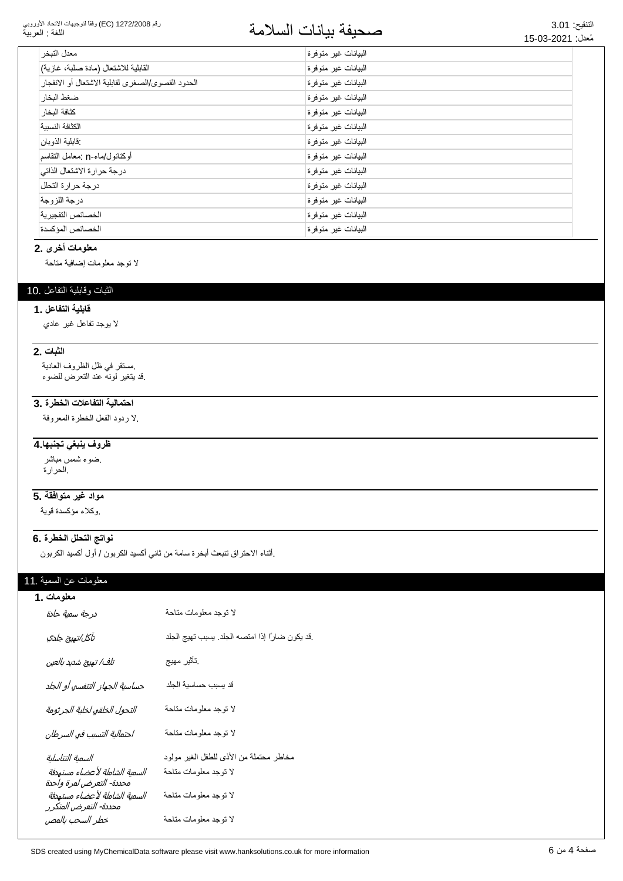#### رقم 1272/2008 (EC) وفقاً لتوجيهات الاتحاد الأوروبي اللغة : العربية

# التنقيع: 3.01<br>مُزار: 2021 03 15 مجموعة المسلامة

| معدل التبخر                                       | البيانات غير متوفرة |
|---------------------------------------------------|---------------------|
| القابلية للاشتعال (مادة صلبة، غازية)              | البيانات غير متوفرة |
| الحدود القصوى/الصغرى لقابلية الاشتعال أو الانفجار | البيانات غير متوفرة |
| ضغط البخار                                        | البيانات غير متوفرة |
| كثافة البخار                                      | البيانات غير متوفرة |
| الكثافة النسببة                                   | البيانات غير متوفرة |
| :قابلية الذوبان                                   | البيانات غير متوفرة |
| أوكتانول/ماء-n :معامل التقاسم                     | البيانات غير متوفرة |
| درجة حرارة الاشتعال الذاتي                        | البيانات غير متوفرة |
| درجة حرارة التحلل                                 | البيانات غير متوفرة |
| در جة اللز وجة                                    | البيانات غير متوفرة |
| الخصائص التفجيرية                                 | البيانات غير متوفرة |
| الخصائص المؤكسدة                                  | البيانات غير متوفرة |

### معلومات أخرى .2

لا توجد معلومات إضافية متاحة

### الثبات وقابلية التفاعل .10

### قابلية التفاعل . **1**

لا بوجد تفاعل غیر عادي

### **2.** الثبات

مستقر في ظل الظروف العادية فد يتغير لونه عند النعرض للضوء.

### احتمالية التفاعلات الخطرة .3

لا ردود الفعل الخطرة المعروفة

# <del>ظروف ينبغي تجنبها 4</del>

ضوء شمس مباشر الحرارة.

### مواد غير متوافقة .5

وكلاء مؤكسدة قوية.

### نواتج التحلل الخطرة .6

إأثناء الاحتراق تنبعث أبخرة سامة من ثاني أكسيد الكربون / أول أكسيد الكربون

### معلومات عن السمية .11

| معلومات .1                                                |                                                 |
|-----------------------------------------------------------|-------------------------------------------------|
| درجة سمية حادة                                            | لا توجد معلومات متاحة                           |
| تآكل/تهيج جلدي                                            | .قد يكون ضارًا إذا امتصه الجلد. يسبب تهيج الجلد |
| تلف/ تهيج شديد بالعين                                     | ِتَأْتُير مهيج                                  |
| حساسية الجهاز التنفسي أو الجلد                            | قد يسبب حساسية الجلد                            |
| التحول الخلقي لخلية الجرثومة                              | لا توجد معلو مات متاحة                          |
| احتمالية التسبب في السرطان                                | لا تو جد معلو مات متاحة                         |
| السمية التناسلية                                          | مخاطر محتملة من الأذي للطفل الغير مولود         |
| السمية الشاملة لأعضاء مستهدفة<br>محددة- التعرض لمرة واحدة | لا تو جد معلو مات متاحة                         |
| السمية الشاملة لأعضاء مستهدفة<br>محددة- التعرض المتكرر    | لا تو جد معلو مات متاحة                         |
| خطر السحب بالمص                                           | لا توجد معلومات متاحة                           |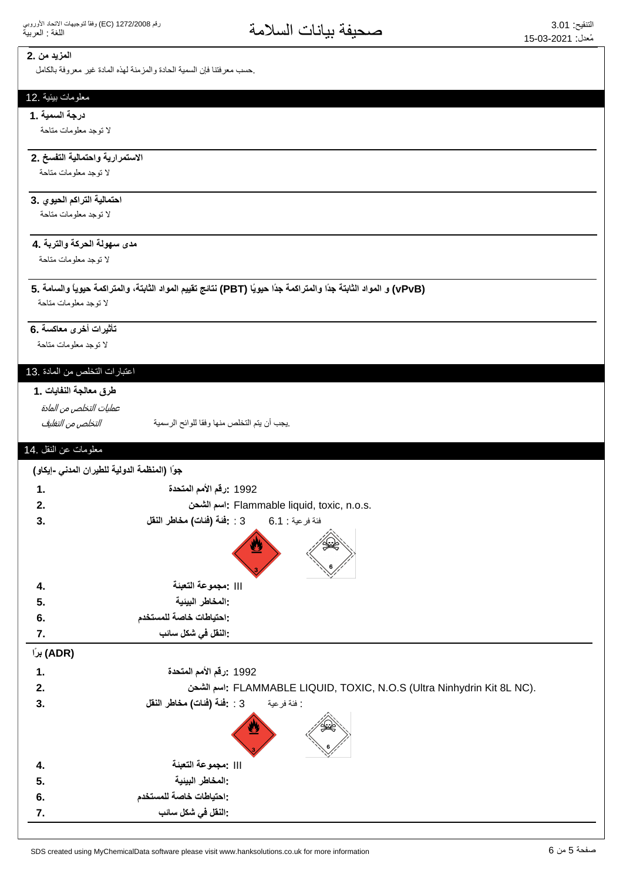#### **المزيد من** .2

حسب معرفتنا فإن السمية الحادة والمزمنة لهذه المادة غير معروفة بالكامل

### معلومات بيئية .12

#### **درجة السمية .1**

لا توجد معلومات متاحة

### الاستمرارية واحتمالية التفسخ .2

لا توجد معلومات متاحة

### احتمالية التراكم الحيوي .3

لا توحد معلومات متاحة

### مدى سهولة الحركة والتربة **.4**

لا توجد معلومات متاحة

# (vPvB) و المواد الثابتة جدًا والمتراكمة جدًا حيويًا (PBT) نتائج تقييم المواد الثابتة، والمتراكمة حيوياً والسامة .5

لا توجد معلومات متاحة

# تأثيرات أخرى معاكسة .6

لا توجد معلومات متاحة

### اعتبارات التخلص من المادة .13

### طرق معالجة النفايا*ت* . 1

عمليات التخلص من المادة

ͮ௬Ͼ̲௪̺͙ͳ̻ͧϾ̞௪̺͙ ΔϳϣγέϟϭϠϟΎϘϓϭΎϬϧϣιϠΧΗϟϡΗϳϥΏΟϳ.

### معلومات عن النقل .14

|               | جوًا (المنظمة الدولية للطيران المدنى -إيكاو)                              |
|---------------|---------------------------------------------------------------------------|
| $\mathbf 1$ . | 1992 :رقم الأمم المتحدة                                                   |
| 2.            | : اسم الشحن : Flammable liquid, toxic, n.o.s.                             |
| 3.            | فئة فرعية : 6.1 6 - 3 : فَفَة (فَفَات) مخاطر النقل                        |
|               | ፵                                                                         |
| 4.            | :مجموعة التعبئة                                                           |
| 5.            | : المخاطر البينية                                                         |
| 6.            | :احتياطات خاصة للمستخدم                                                   |
| 7.            | : النقل في شكل سائب                                                       |
| (ADR) براً    |                                                                           |
| 1.            | 1992 :رقم الأمم المتحدة                                                   |
| 2.            | : اسم الشحن : FLAMMABLE LIQUID, TOXIC, N.O.S (Ultra Ninhydrin Kit 8L NC). |
| 3.            | 3 : 2فئة (فئات) مخاطر النقل<br>: فئة فر عية                               |
|               | ⋓                                                                         |
| 4.            | :مجموعة التعبئة                                                           |
| 5.            | : المخاطر البينية                                                         |
| 6.            | :احتياطات خاصة للمستخدم                                                   |
| 7.            | -النقل في شكل سائب                                                        |
|               |                                                                           |